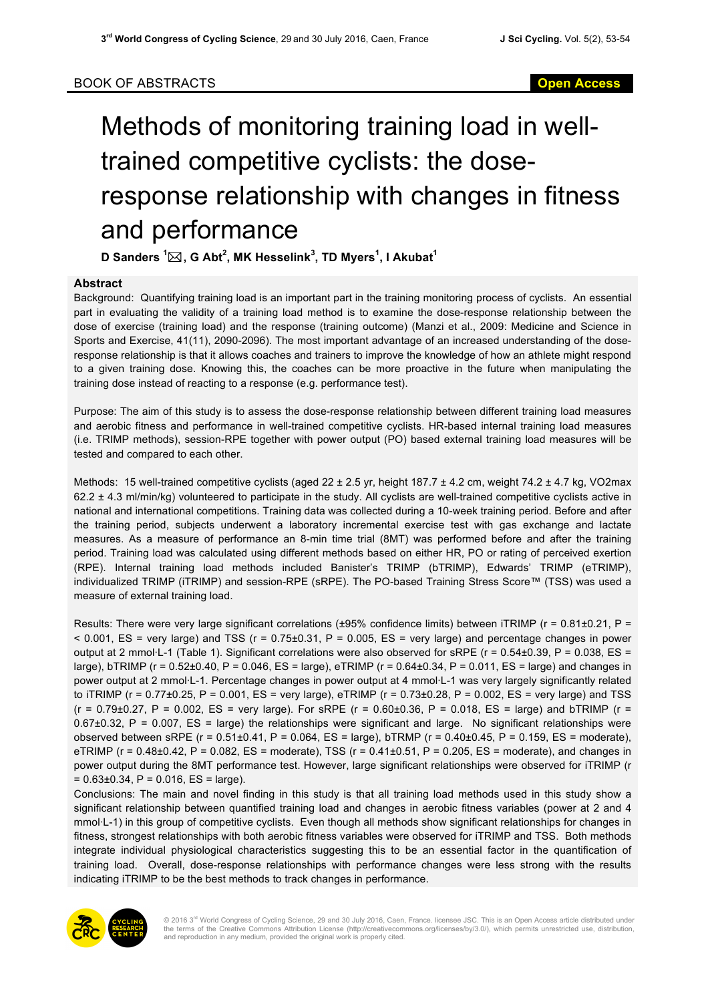## Methods of monitoring training load in welltrained competitive cyclists: the doseresponse relationship with changes in fitness and performance

**D Sanders <sup>1</sup>** \***, G Abt<sup>2</sup> , MK Hesselink<sup>3</sup> , TD Myers<sup>1</sup> , I Akubat<sup>1</sup>**

## **Abstract**

Background: Quantifying training load is an important part in the training monitoring process of cyclists. An essential part in evaluating the validity of a training load method is to examine the dose-response relationship between the dose of exercise (training load) and the response (training outcome) (Manzi et al., 2009: Medicine and Science in Sports and Exercise, 41(11), 2090-2096). The most important advantage of an increased understanding of the doseresponse relationship is that it allows coaches and trainers to improve the knowledge of how an athlete might respond to a given training dose. Knowing this, the coaches can be more proactive in the future when manipulating the training dose instead of reacting to a response (e.g. performance test).

Purpose: The aim of this study is to assess the dose-response relationship between different training load measures and aerobic fitness and performance in well-trained competitive cyclists. HR-based internal training load measures (i.e. TRIMP methods), session-RPE together with power output (PO) based external training load measures will be tested and compared to each other.

Methods: 15 well-trained competitive cyclists (aged 22 ± 2.5 yr, height 187.7 ± 4.2 cm, weight 74.2 ± 4.7 kg, VO2max  $62.2 \pm 4.3$  ml/min/kg) volunteered to participate in the study. All cyclists are well-trained competitive cyclists active in national and international competitions. Training data was collected during a 10-week training period. Before and after the training period, subjects underwent a laboratory incremental exercise test with gas exchange and lactate measures. As a measure of performance an 8-min time trial (8MT) was performed before and after the training period. Training load was calculated using different methods based on either HR, PO or rating of perceived exertion (RPE). Internal training load methods included Banister's TRIMP (bTRIMP), Edwards' TRIMP (eTRIMP), individualized TRIMP (iTRIMP) and session-RPE (sRPE). The PO-based Training Stress Score™ (TSS) was used a measure of external training load.

Results: There were very large significant correlations ( $\pm 95\%$  confidence limits) between iTRIMP ( $r = 0.81 \pm 0.21$ , P =  $<$  0.001, ES = very large) and TSS (r = 0.75 $\pm$ 0.31, P = 0.005, ES = very large) and percentage changes in power output at 2 mmol·L-1 (Table 1). Significant correlations were also observed for sRPE (r = 0.54±0.39, P = 0.038, ES = large), bTRIMP (r =  $0.52\pm0.40$ , P =  $0.046$ , ES = large), eTRIMP (r =  $0.64\pm0.34$ , P =  $0.011$ , ES = large) and changes in power output at 2 mmol·L-1. Percentage changes in power output at 4 mmol·L-1 was very largely significantly related to iTRIMP ( $r = 0.77 \pm 0.25$ ,  $P = 0.001$ ,  $ES =$  very large), eTRIMP ( $r = 0.73 \pm 0.28$ ,  $P = 0.002$ ,  $ES =$  very large) and TSS  $(r = 0.79 \pm 0.27, P = 0.002, ES = very large)$ . For sRPE  $(r = 0.60 \pm 0.36, P = 0.018, ES = large)$  and bTRIMP  $(r = 0.60 \pm 0.36, P = 0.018, ES = large)$  $0.67\pm0.32$ , P = 0.007, ES = large) the relationships were significant and large. No significant relationships were observed between sRPE (r = 0.51±0.41, P = 0.064, ES = large), bTRMP (r = 0.40±0.45, P = 0.159, ES = moderate), eTRIMP ( $r = 0.48 \pm 0.42$ ,  $P = 0.082$ ,  $ES =$  moderate), TSS ( $r = 0.41 \pm 0.51$ ,  $P = 0.205$ ,  $ES =$  moderate), and changes in power output during the 8MT performance test. However, large significant relationships were observed for iTRIMP (r  $= 0.63 \pm 0.34$ , P = 0.016, ES = large).

Conclusions: The main and novel finding in this study is that all training load methods used in this study show a significant relationship between quantified training load and changes in aerobic fitness variables (power at 2 and 4 mmol·L-1) in this group of competitive cyclists. Even though all methods show significant relationships for changes in fitness, strongest relationships with both aerobic fitness variables were observed for iTRIMP and TSS. Both methods integrate individual physiological characteristics suggesting this to be an essential factor in the quantification of training load. Overall, dose-response relationships with performance changes were less strong with the results indicating iTRIMP to be the best methods to track changes in performance.